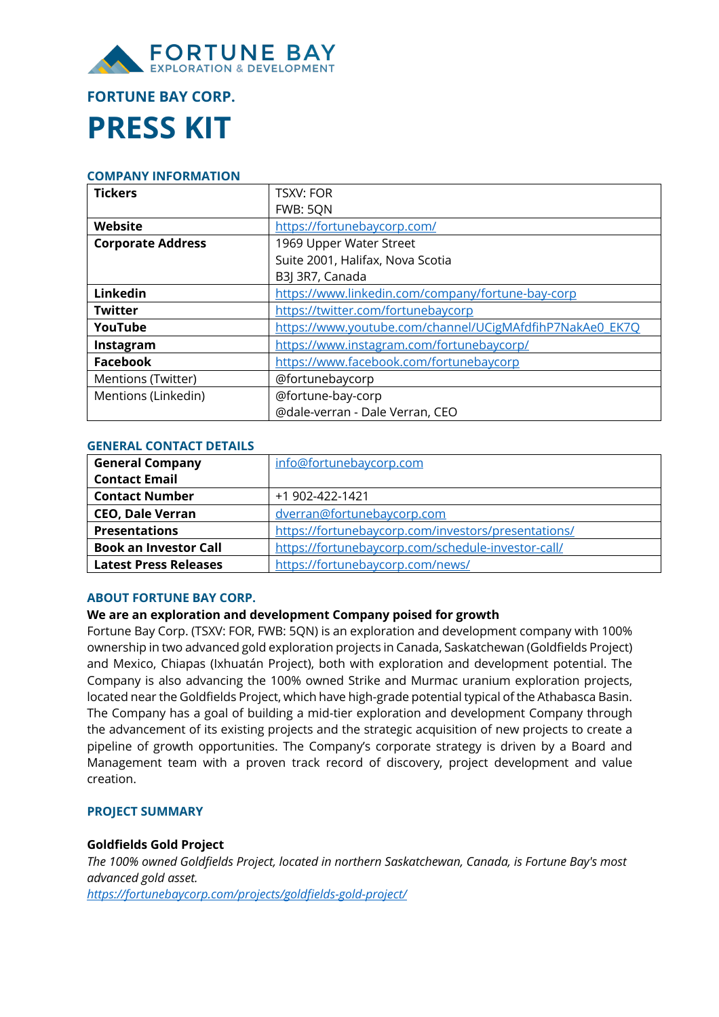

# **FORTUNE BAY CORP. PRESS KIT**

#### **COMPANY INFORMATION**

| <b>Tickers</b>           | <b>TSXV: FOR</b>                                         |  |  |
|--------------------------|----------------------------------------------------------|--|--|
|                          | FWB: 5QN                                                 |  |  |
| Website                  | https://fortunebaycorp.com/                              |  |  |
| <b>Corporate Address</b> | 1969 Upper Water Street                                  |  |  |
|                          | Suite 2001, Halifax, Nova Scotia                         |  |  |
|                          | B3J 3R7, Canada                                          |  |  |
| Linkedin                 | https://www.linkedin.com/company/fortune-bay-corp        |  |  |
| <b>Twitter</b>           | https://twitter.com/fortunebaycorp                       |  |  |
| YouTube                  | https://www.youtube.com/channel/UCigMAfdfihP7NakAe0_EK7O |  |  |
| Instagram                | https://www.instagram.com/fortunebaycorp/                |  |  |
| <b>Facebook</b>          | https://www.facebook.com/fortunebaycorp                  |  |  |
| Mentions (Twitter)       | @fortunebaycorp                                          |  |  |
| Mentions (Linkedin)      | @fortune-bay-corp                                        |  |  |
|                          | @dale-verran - Dale Verran, CEO                          |  |  |

#### **GENERAL CONTACT DETAILS**

| <b>General Company</b>       | info@fortunebaycorp.com                             |  |  |
|------------------------------|-----------------------------------------------------|--|--|
| <b>Contact Email</b>         |                                                     |  |  |
| <b>Contact Number</b>        | +1 902-422-1421                                     |  |  |
| <b>CEO, Dale Verran</b>      | dverran@fortunebaycorp.com                          |  |  |
| <b>Presentations</b>         | https://fortunebaycorp.com/investors/presentations/ |  |  |
| <b>Book an Investor Call</b> | https://fortunebaycorp.com/schedule-investor-call/  |  |  |
| <b>Latest Press Releases</b> | https://fortunebaycorp.com/news/                    |  |  |

# **ABOUT FORTUNE BAY CORP.**

# **We are an exploration and development Company poised for growth**

Fortune Bay Corp. (TSXV: FOR, FWB: 5QN) is an exploration and development company with 100% ownership in two advanced gold exploration projects in Canada, Saskatchewan (Goldfields Project) and Mexico, Chiapas (Ixhuatán Project), both with exploration and development potential. The Company is also advancing the 100% owned Strike and Murmac uranium exploration projects, located near the Goldfields Project, which have high-grade potential typical of the Athabasca Basin. The Company has a goal of building a mid-tier exploration and development Company through the advancement of its existing projects and the strategic acquisition of new projects to create a pipeline of growth opportunities. The Company's corporate strategy is driven by a Board and Management team with a proven track record of discovery, project development and value creation.

# **PROJECT SUMMARY**

## **Goldfields Gold Project**

*The 100% owned Goldfields Project, located in northern Saskatchewan, Canada, is Fortune Bay's most advanced gold asset.*

*https://fortunebaycorp.com/projects/goldfields-gold-project/*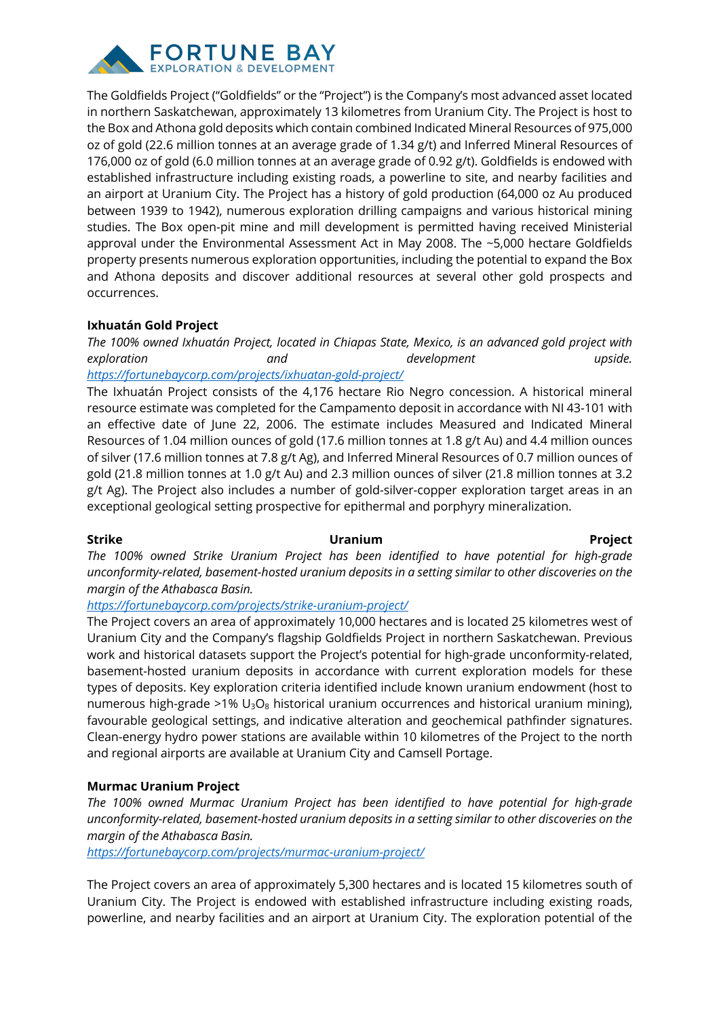

The Goldfields Project ("Goldfields" or the "Project") is the Company's most advanced asset located in northern Saskatchewan, approximately 13 kilometres from Uranium City. The Project is host to the Box and Athona gold deposits which contain combined Indicated Mineral Resources of 975,000 oz of gold (22.6 million tonnes at an average grade of 1.34 g/t) and Inferred Mineral Resources of 176,000 oz of gold (6.0 million tonnes at an average grade of 0.92 g/t). Goldfields is endowed with established infrastructure including existing roads, a powerline to site, and nearby facilities and an airport at Uranium City. The Project has a history of gold production (64,000 oz Au produced between 1939 to 1942), numerous exploration drilling campaigns and various historical mining studies. The Box open-pit mine and mill development is permitted having received Ministerial approval under the Environmental Assessment Act in May 2008. The ~5,000 hectare Goldfields property presents numerous exploration opportunities, including the potential to expand the Box and Athona deposits and discover additional resources at several other gold prospects and occurrences.

# **Ixhuatán Gold Project**

*The 100% owned Ixhuatán Project, located in Chiapas State, Mexico, is an advanced gold project with exploration and development upside. https://fortunebaycorp.com/projects/ixhuatan-gold-project/*

The Ixhuatán Project consists of the 4,176 hectare Rio Negro concession. A historical mineral resource estimate was completed for the Campamento deposit in accordance with NI 43-101 with an effective date of June 22, 2006. The estimate includes Measured and Indicated Mineral Resources of 1.04 million ounces of gold (17.6 million tonnes at 1.8 g/t Au) and 4.4 million ounces of silver (17.6 million tonnes at 7.8 g/t Ag), and Inferred Mineral Resources of 0.7 million ounces of gold (21.8 million tonnes at 1.0 g/t Au) and 2.3 million ounces of silver (21.8 million tonnes at 3.2 g/t Ag). The Project also includes a number of gold-silver-copper exploration target areas in an exceptional geological setting prospective for epithermal and porphyry mineralization.

## **Strike Uranium Project**

*The 100% owned Strike Uranium Project has been identified to have potential for high-grade unconformity-related, basement-hosted uranium deposits in a setting similar to other discoveries on the margin of the Athabasca Basin.*

*https://fortunebaycorp.com/projects/strike-uranium-project/*

The Project covers an area of approximately 10,000 hectares and is located 25 kilometres west of Uranium City and the Company's flagship Goldfields Project in northern Saskatchewan. Previous work and historical datasets support the Project's potential for high-grade unconformity-related, basement-hosted uranium deposits in accordance with current exploration models for these types of deposits. Key exploration criteria identified include known uranium endowment (host to numerous high-grade >1%  $U_3O_8$  historical uranium occurrences and historical uranium mining), favourable geological settings, and indicative alteration and geochemical pathfinder signatures. Clean-energy hydro power stations are available within 10 kilometres of the Project to the north and regional airports are available at Uranium City and Camsell Portage.

# **Murmac Uranium Project**

*The 100% owned Murmac Uranium Project has been identified to have potential for high-grade unconformity-related, basement-hosted uranium deposits in a setting similar to other discoveries on the margin of the Athabasca Basin.*

*https://fortunebaycorp.com/projects/murmac-uranium-project/*

The Project covers an area of approximately 5,300 hectares and is located 15 kilometres south of Uranium City. The Project is endowed with established infrastructure including existing roads, powerline, and nearby facilities and an airport at Uranium City. The exploration potential of the